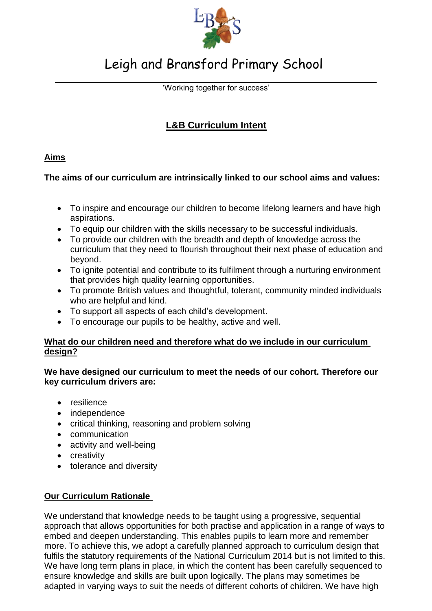

# Leigh and Bransford Primary School

'Working together for success'

# **L&B Curriculum Intent**

## **Aims**

## **The aims of our curriculum are intrinsically linked to our school aims and values:**

- To inspire and encourage our children to become lifelong learners and have high aspirations.
- To equip our children with the skills necessary to be successful individuals.
- To provide our children with the breadth and depth of knowledge across the curriculum that they need to flourish throughout their next phase of education and beyond.
- To ignite potential and contribute to its fulfilment through a nurturing environment that provides high quality learning opportunities.
- To promote British values and thoughtful, tolerant, community minded individuals who are helpful and kind.
- To support all aspects of each child's development.
- To encourage our pupils to be healthy, active and well.

#### **What do our children need and therefore what do we include in our curriculum design?**

#### **We have designed our curriculum to meet the needs of our cohort. Therefore our key curriculum drivers are:**

- resilience
- independence
- critical thinking, reasoning and problem solving
- communication
- activity and well-being
- creativity
- tolerance and diversity

#### **Our Curriculum Rationale**

We understand that knowledge needs to be taught using a progressive, sequential approach that allows opportunities for both practise and application in a range of ways to embed and deepen understanding. This enables pupils to learn more and remember more. To achieve this, we adopt a carefully planned approach to curriculum design that fulfils the statutory requirements of the National Curriculum 2014 but is not limited to this. We have long term plans in place, in which the content has been carefully sequenced to ensure knowledge and skills are built upon logically. The plans may sometimes be adapted in varying ways to suit the needs of different cohorts of children. We have high